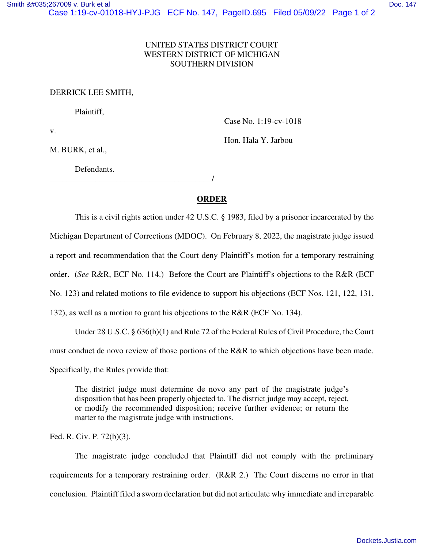## UNITED STATES DISTRICT COURT WESTERN DISTRICT OF MICHIGAN SOUTHERN DIVISION

DERRICK LEE SMITH,

Plaintiff,

v.

Case No. 1:19-cv-1018

Hon. Hala Y. Jarbou

M. BURK, et al.,

Defendants.

\_\_\_\_\_\_\_\_\_\_\_\_\_\_\_\_\_\_\_\_\_\_\_\_\_\_\_\_\_\_\_\_\_\_\_\_\_\_\_/

## **ORDER**

This is a civil rights action under 42 U.S.C. § 1983, filed by a prisoner incarcerated by the Michigan Department of Corrections (MDOC). On February 8, 2022, the magistrate judge issued a report and recommendation that the Court deny Plaintiff's motion for a temporary restraining order. (*See* R&R, ECF No. 114.) Before the Court are Plaintiff's objections to the R&R (ECF No. 123) and related motions to file evidence to support his objections (ECF Nos. 121, 122, 131, 132), as well as a motion to grant his objections to the R&R (ECF No. 134).

Under 28 U.S.C. § 636(b)(1) and Rule 72 of the Federal Rules of Civil Procedure, the Court

must conduct de novo review of those portions of the R&R to which objections have been made.

Specifically, the Rules provide that:

The district judge must determine de novo any part of the magistrate judge's disposition that has been properly objected to. The district judge may accept, reject, or modify the recommended disposition; receive further evidence; or return the matter to the magistrate judge with instructions.

Fed. R. Civ. P. 72(b)(3).

The magistrate judge concluded that Plaintiff did not comply with the preliminary requirements for a temporary restraining order. (R&R 2.) The Court discerns no error in that conclusion. Plaintiff filed a sworn declaration but did not articulate why immediate and irreparable